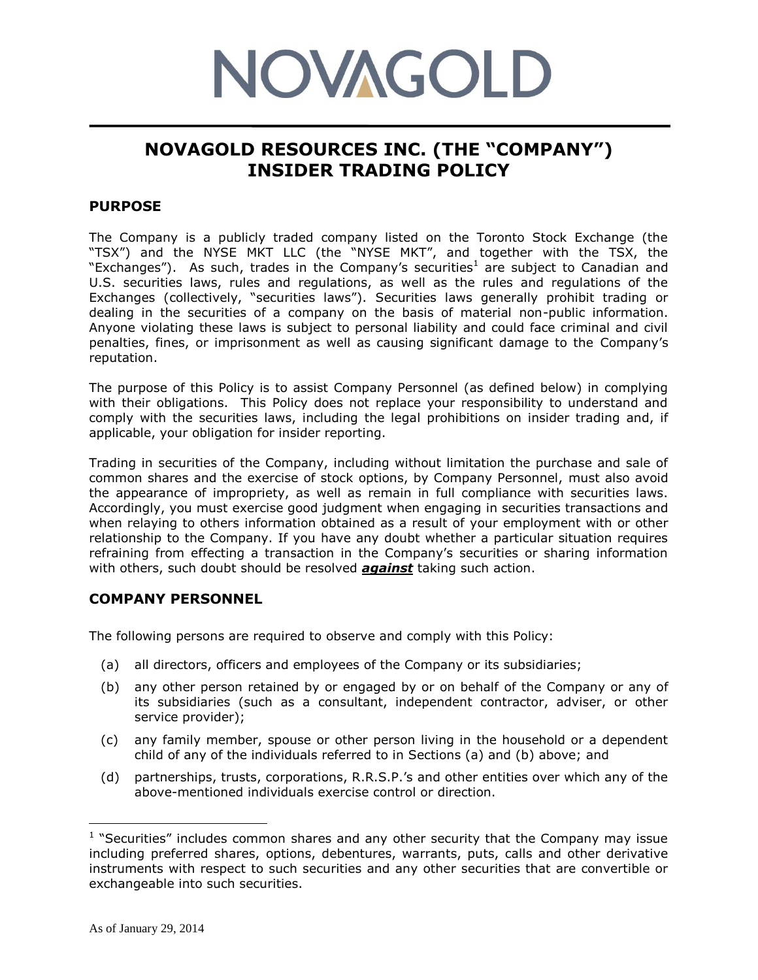# **NOVAGOLD**

# **NOVAGOLD RESOURCES INC. (THE "COMPANY") INSIDER TRADING POLICY**

# **PURPOSE**

The Company is a publicly traded company listed on the Toronto Stock Exchange (the "TSX") and the NYSE MKT LLC (the "NYSE MKT", and together with the TSX, the "Exchanges"). As such, trades in the Company's securities<sup>1</sup> are subject to Canadian and U.S. securities laws, rules and regulations, as well as the rules and regulations of the Exchanges (collectively, "securities laws"). Securities laws generally prohibit trading or dealing in the securities of a company on the basis of material non-public information. Anyone violating these laws is subject to personal liability and could face criminal and civil penalties, fines, or imprisonment as well as causing significant damage to the Company's reputation.

The purpose of this Policy is to assist Company Personnel (as defined below) in complying with their obligations. This Policy does not replace your responsibility to understand and comply with the securities laws, including the legal prohibitions on insider trading and, if applicable, your obligation for insider reporting.

Trading in securities of the Company, including without limitation the purchase and sale of common shares and the exercise of stock options, by Company Personnel, must also avoid the appearance of impropriety, as well as remain in full compliance with securities laws. Accordingly, you must exercise good judgment when engaging in securities transactions and when relaying to others information obtained as a result of your employment with or other relationship to the Company. If you have any doubt whether a particular situation requires refraining from effecting a transaction in the Company's securities or sharing information with others, such doubt should be resolved *against* taking such action.

# **COMPANY PERSONNEL**

The following persons are required to observe and comply with this Policy:

- (a) all directors, officers and employees of the Company or its subsidiaries;
- (b) any other person retained by or engaged by or on behalf of the Company or any of its subsidiaries (such as a consultant, independent contractor, adviser, or other service provider);
- (c) any family member, spouse or other person living in the household or a dependent child of any of the individuals referred to in Sections (a) and (b) above; and
- (d) partnerships, trusts, corporations, R.R.S.P.'s and other entities over which any of the above-mentioned individuals exercise control or direction.

 $\overline{a}$ 

<sup>&</sup>lt;sup>1</sup> "Securities" includes common shares and any other security that the Company may issue including preferred shares, options, debentures, warrants, puts, calls and other derivative instruments with respect to such securities and any other securities that are convertible or exchangeable into such securities.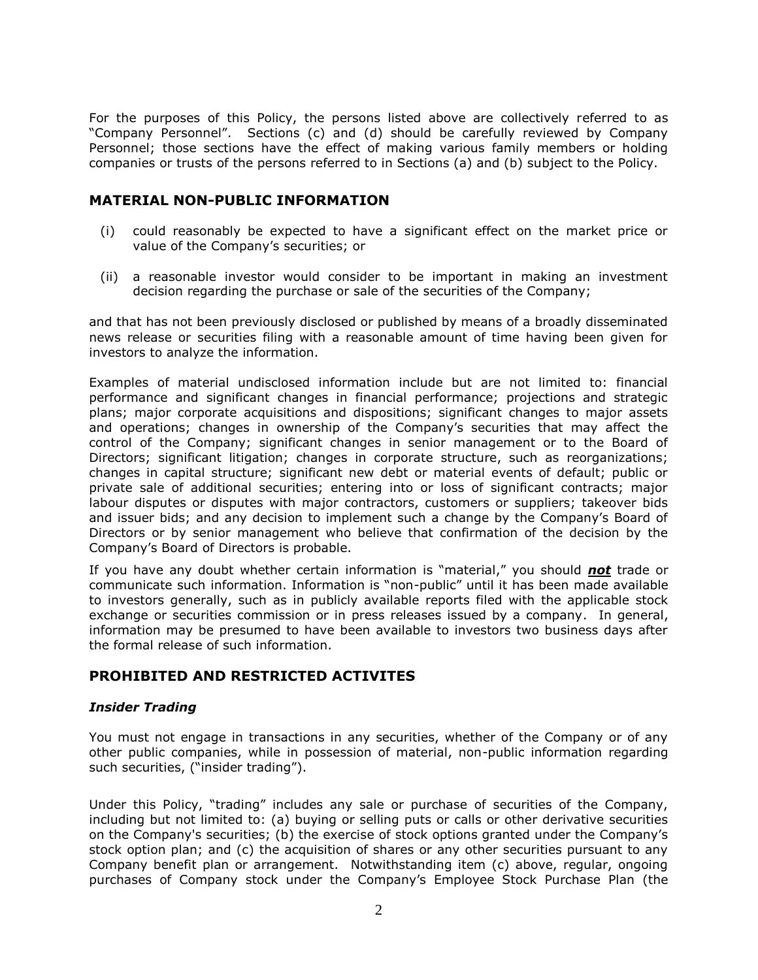For the purposes of this Policy, the persons listed above are collectively referred to as "Company Personnel". Sections (c) and (d) should be carefully reviewed by Company Personnel; those sections have the effect of making various family members or holding companies or trusts of the persons referred to in Sections (a) and (b) subject to the Policy.

# **MATERIAL NON-PUBLIC INFORMATION**

- (i) could reasonably be expected to have a significant effect on the market price or value of the Company's securities; or
- (ii) a reasonable investor would consider to be important in making an investment decision regarding the purchase or sale of the securities of the Company;

and that has not been previously disclosed or published by means of a broadly disseminated news release or securities filing with a reasonable amount of time having been given for investors to analyze the information.

Examples of material undisclosed information include but are not limited to: financial performance and significant changes in financial performance; projections and strategic plans; major corporate acquisitions and dispositions; significant changes to major assets and operations; changes in ownership of the Company's securities that may affect the control of the Company; significant changes in senior management or to the Board of Directors; significant litigation; changes in corporate structure, such as reorganizations; changes in capital structure; significant new debt or material events of default; public or private sale of additional securities; entering into or loss of significant contracts; major labour disputes or disputes with major contractors, customers or suppliers; takeover bids and issuer bids; and any decision to implement such a change by the Company's Board of Directors or by senior management who believe that confirmation of the decision by the Company's Board of Directors is probable.

If you have any doubt whether certain information is "material," you should *not* trade or communicate such information. Information is "non-public" until it has been made available to investors generally, such as in publicly available reports filed with the applicable stock exchange or securities commission or in press releases issued by a company. In general, information may be presumed to have been available to investors two business days after the formal release of such information.

# **PROHIBITED AND RESTRICTED ACTIVITES**

### *Insider Trading*

You must not engage in transactions in any securities, whether of the Company or of any other public companies, while in possession of material, non-public information regarding such securities, ("insider trading").

Under this Policy, "trading" includes any sale or purchase of securities of the Company, including but not limited to: (a) buying or selling puts or calls or other derivative securities on the Company's securities; (b) the exercise of stock options granted under the Company's stock option plan; and (c) the acquisition of shares or any other securities pursuant to any Company benefit plan or arrangement. Notwithstanding item (c) above, regular, ongoing purchases of Company stock under the Company's Employee Stock Purchase Plan (the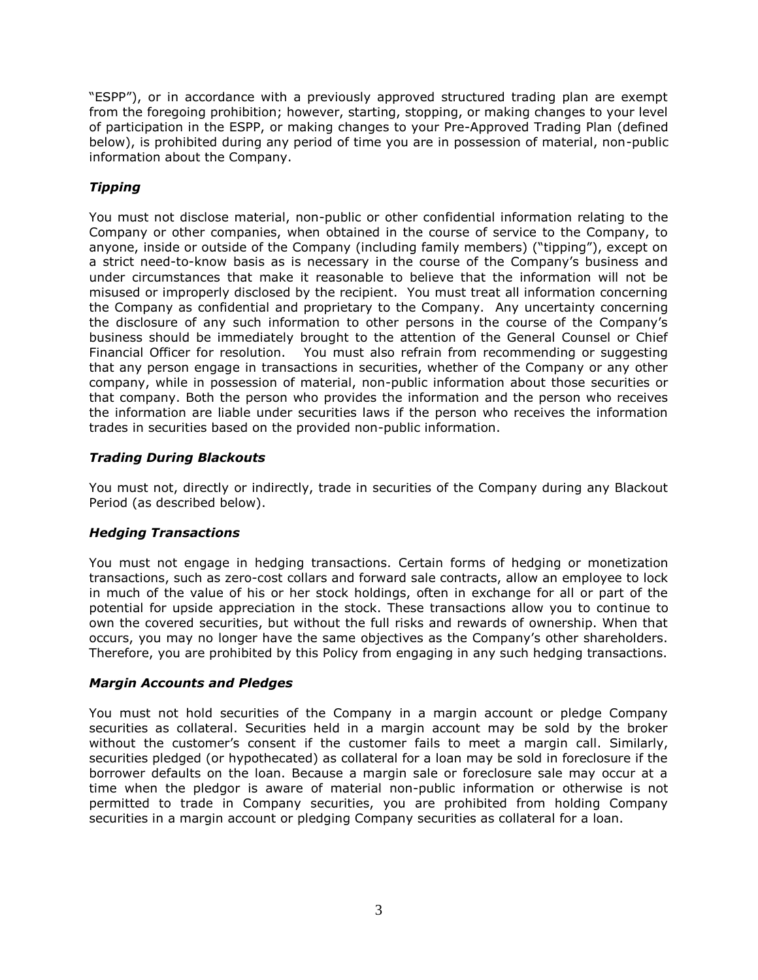"ESPP"), or in accordance with a previously approved structured trading plan are exempt from the foregoing prohibition; however, starting, stopping, or making changes to your level of participation in the ESPP, or making changes to your Pre-Approved Trading Plan (defined below), is prohibited during any period of time you are in possession of material, non-public information about the Company.

# *Tipping*

You must not disclose material, non-public or other confidential information relating to the Company or other companies, when obtained in the course of service to the Company, to anyone, inside or outside of the Company (including family members) ("tipping"), except on a strict need-to-know basis as is necessary in the course of the Company's business and under circumstances that make it reasonable to believe that the information will not be misused or improperly disclosed by the recipient. You must treat all information concerning the Company as confidential and proprietary to the Company. Any uncertainty concerning the disclosure of any such information to other persons in the course of the Company's business should be immediately brought to the attention of the General Counsel or Chief Financial Officer for resolution. You must also refrain from recommending or suggesting that any person engage in transactions in securities, whether of the Company or any other company, while in possession of material, non-public information about those securities or that company. Both the person who provides the information and the person who receives the information are liable under securities laws if the person who receives the information trades in securities based on the provided non-public information.

# *Trading During Blackouts*

You must not, directly or indirectly, trade in securities of the Company during any Blackout Period (as described below).

# *Hedging Transactions*

You must not engage in hedging transactions. Certain forms of hedging or monetization transactions, such as zero-cost collars and forward sale contracts, allow an employee to lock in much of the value of his or her stock holdings, often in exchange for all or part of the potential for upside appreciation in the stock. These transactions allow you to continue to own the covered securities, but without the full risks and rewards of ownership. When that occurs, you may no longer have the same objectives as the Company's other shareholders. Therefore, you are prohibited by this Policy from engaging in any such hedging transactions.

### *Margin Accounts and Pledges*

You must not hold securities of the Company in a margin account or pledge Company securities as collateral. Securities held in a margin account may be sold by the broker without the customer's consent if the customer fails to meet a margin call. Similarly, securities pledged (or hypothecated) as collateral for a loan may be sold in foreclosure if the borrower defaults on the loan. Because a margin sale or foreclosure sale may occur at a time when the pledgor is aware of material non-public information or otherwise is not permitted to trade in Company securities, you are prohibited from holding Company securities in a margin account or pledging Company securities as collateral for a loan.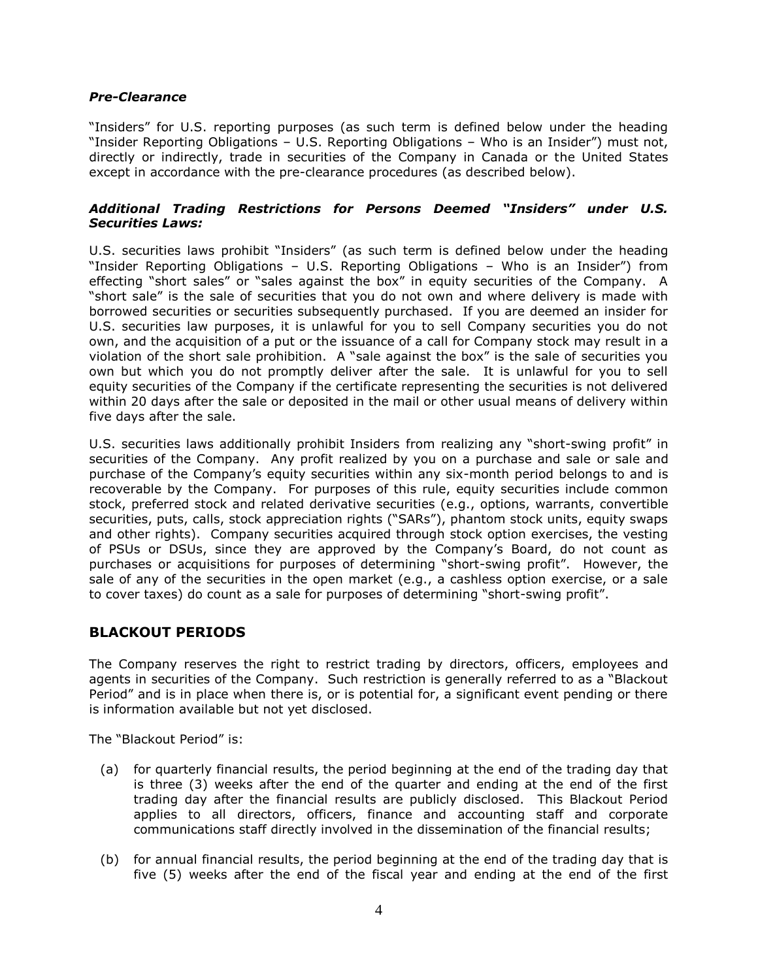### *Pre-Clearance*

"Insiders" for U.S. reporting purposes (as such term is defined below under the heading "Insider Reporting Obligations – U.S. Reporting Obligations – Who is an Insider") must not, directly or indirectly, trade in securities of the Company in Canada or the United States except in accordance with the pre-clearance procedures (as described below).

### *Additional Trading Restrictions for Persons Deemed "Insiders" under U.S. Securities Laws:*

U.S. securities laws prohibit "Insiders" (as such term is defined below under the heading "Insider Reporting Obligations – U.S. Reporting Obligations – Who is an Insider") from effecting "short sales" or "sales against the box" in equity securities of the Company. A "short sale" is the sale of securities that you do not own and where delivery is made with borrowed securities or securities subsequently purchased. If you are deemed an insider for U.S. securities law purposes, it is unlawful for you to sell Company securities you do not own, and the acquisition of a put or the issuance of a call for Company stock may result in a violation of the short sale prohibition. A "sale against the box" is the sale of securities you own but which you do not promptly deliver after the sale. It is unlawful for you to sell equity securities of the Company if the certificate representing the securities is not delivered within 20 days after the sale or deposited in the mail or other usual means of delivery within five days after the sale.

U.S. securities laws additionally prohibit Insiders from realizing any "short-swing profit" in securities of the Company. Any profit realized by you on a purchase and sale or sale and purchase of the Company's equity securities within any six-month period belongs to and is recoverable by the Company. For purposes of this rule, equity securities include common stock, preferred stock and related derivative securities (e.g., options, warrants, convertible securities, puts, calls, stock appreciation rights ("SARs"), phantom stock units, equity swaps and other rights). Company securities acquired through stock option exercises, the vesting of PSUs or DSUs, since they are approved by the Company's Board, do not count as purchases or acquisitions for purposes of determining "short-swing profit". However, the sale of any of the securities in the open market (e.g., a cashless option exercise, or a sale to cover taxes) do count as a sale for purposes of determining "short-swing profit".

# **BLACKOUT PERIODS**

The Company reserves the right to restrict trading by directors, officers, employees and agents in securities of the Company. Such restriction is generally referred to as a "Blackout Period" and is in place when there is, or is potential for, a significant event pending or there is information available but not yet disclosed.

The "Blackout Period" is:

- (a) for quarterly financial results, the period beginning at the end of the trading day that is three (3) weeks after the end of the quarter and ending at the end of the first trading day after the financial results are publicly disclosed. This Blackout Period applies to all directors, officers, finance and accounting staff and corporate communications staff directly involved in the dissemination of the financial results;
- (b) for annual financial results, the period beginning at the end of the trading day that is five (5) weeks after the end of the fiscal year and ending at the end of the first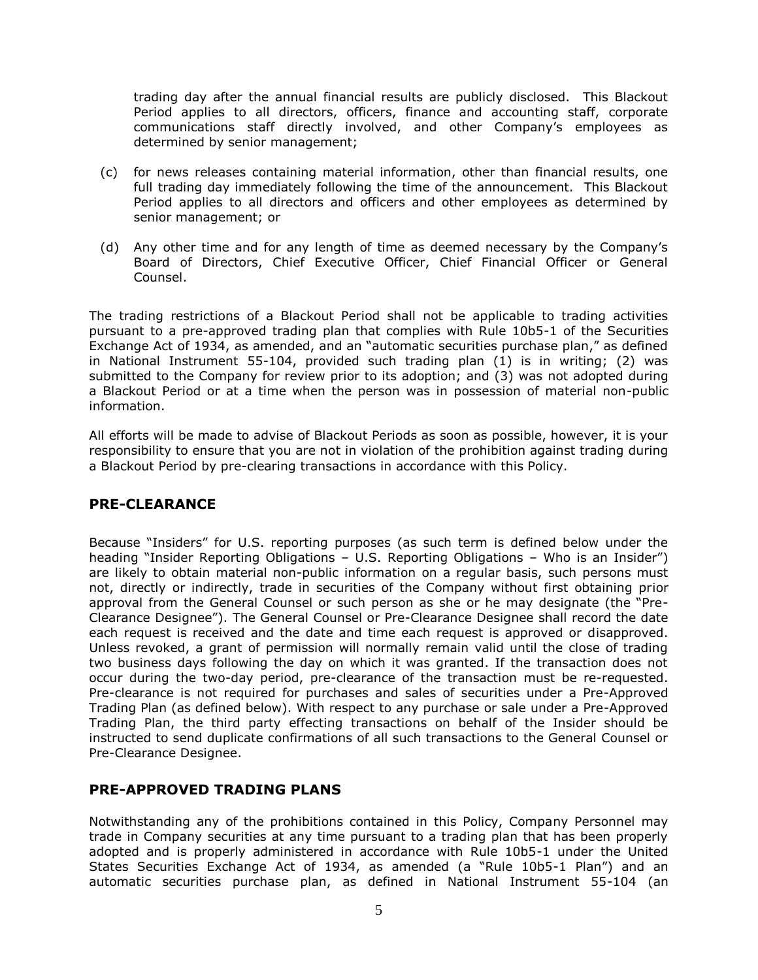trading day after the annual financial results are publicly disclosed. This Blackout Period applies to all directors, officers, finance and accounting staff, corporate communications staff directly involved, and other Company's employees as determined by senior management;

- (c) for news releases containing material information, other than financial results, one full trading day immediately following the time of the announcement. This Blackout Period applies to all directors and officers and other employees as determined by senior management; or
- (d) Any other time and for any length of time as deemed necessary by the Company's Board of Directors, Chief Executive Officer, Chief Financial Officer or General Counsel.

The trading restrictions of a Blackout Period shall not be applicable to trading activities pursuant to a pre-approved trading plan that complies with Rule 10b5-1 of the Securities Exchange Act of 1934, as amended, and an "automatic securities purchase plan," as defined in National Instrument 55-104, provided such trading plan (1) is in writing; (2) was submitted to the Company for review prior to its adoption; and (3) was not adopted during a Blackout Period or at a time when the person was in possession of material non-public information.

All efforts will be made to advise of Blackout Periods as soon as possible, however, it is your responsibility to ensure that you are not in violation of the prohibition against trading during a Blackout Period by pre-clearing transactions in accordance with this Policy.

# **PRE-CLEARANCE**

Because "Insiders" for U.S. reporting purposes (as such term is defined below under the heading "Insider Reporting Obligations – U.S. Reporting Obligations – Who is an Insider") are likely to obtain material non-public information on a regular basis, such persons must not, directly or indirectly, trade in securities of the Company without first obtaining prior approval from the General Counsel or such person as she or he may designate (the "Pre-Clearance Designee"). The General Counsel or Pre-Clearance Designee shall record the date each request is received and the date and time each request is approved or disapproved. Unless revoked, a grant of permission will normally remain valid until the close of trading two business days following the day on which it was granted. If the transaction does not occur during the two-day period, pre-clearance of the transaction must be re-requested. Pre-clearance is not required for purchases and sales of securities under a Pre-Approved Trading Plan (as defined below). With respect to any purchase or sale under a Pre-Approved Trading Plan, the third party effecting transactions on behalf of the Insider should be instructed to send duplicate confirmations of all such transactions to the General Counsel or Pre-Clearance Designee.

# **PRE-APPROVED TRADING PLANS**

Notwithstanding any of the prohibitions contained in this Policy, Company Personnel may trade in Company securities at any time pursuant to a trading plan that has been properly adopted and is properly administered in accordance with Rule 10b5-1 under the United States Securities Exchange Act of 1934, as amended (a "Rule 10b5-1 Plan") and an automatic securities purchase plan, as defined in National Instrument 55-104 (an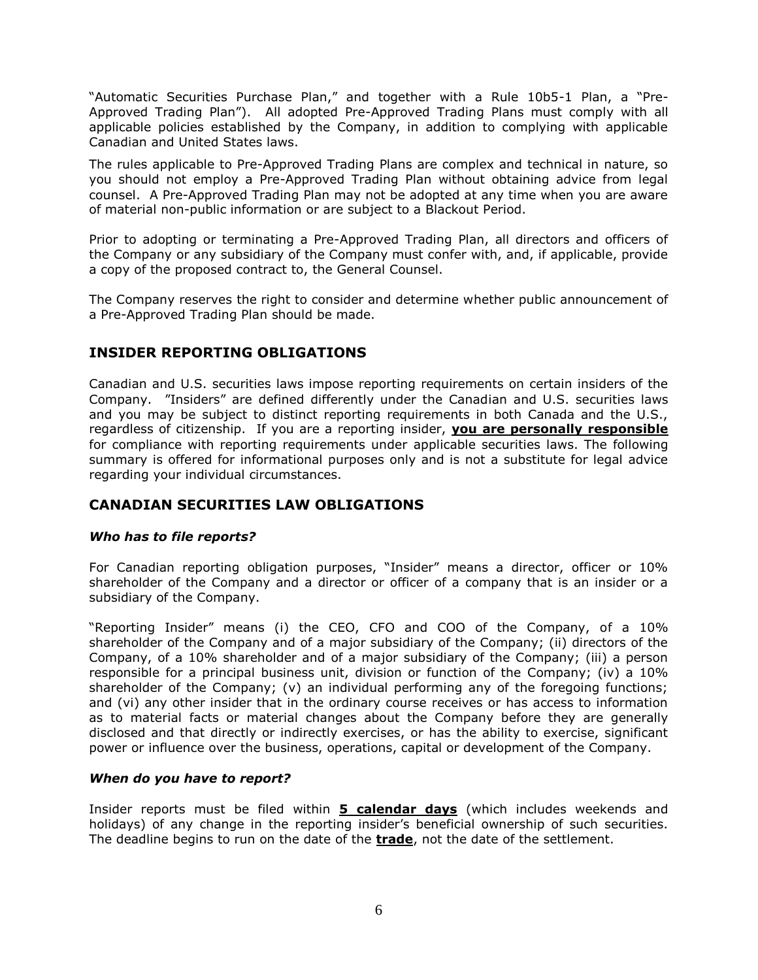"Automatic Securities Purchase Plan," and together with a Rule 10b5-1 Plan, a "Pre-Approved Trading Plan"). All adopted Pre-Approved Trading Plans must comply with all applicable policies established by the Company, in addition to complying with applicable Canadian and United States laws.

The rules applicable to Pre-Approved Trading Plans are complex and technical in nature, so you should not employ a Pre-Approved Trading Plan without obtaining advice from legal counsel. A Pre-Approved Trading Plan may not be adopted at any time when you are aware of material non-public information or are subject to a Blackout Period.

Prior to adopting or terminating a Pre-Approved Trading Plan, all directors and officers of the Company or any subsidiary of the Company must confer with, and, if applicable, provide a copy of the proposed contract to, the General Counsel.

The Company reserves the right to consider and determine whether public announcement of a Pre-Approved Trading Plan should be made.

# **INSIDER REPORTING OBLIGATIONS**

Canadian and U.S. securities laws impose reporting requirements on certain insiders of the Company. "Insiders" are defined differently under the Canadian and U.S. securities laws and you may be subject to distinct reporting requirements in both Canada and the U.S., regardless of citizenship. If you are a reporting insider, **you are personally responsible** for compliance with reporting requirements under applicable securities laws. The following summary is offered for informational purposes only and is not a substitute for legal advice regarding your individual circumstances.

# **CANADIAN SECURITIES LAW OBLIGATIONS**

### *Who has to file reports?*

For Canadian reporting obligation purposes, "Insider" means a director, officer or 10% shareholder of the Company and a director or officer of a company that is an insider or a subsidiary of the Company.

"Reporting Insider" means (i) the CEO, CFO and COO of the Company, of a 10% shareholder of the Company and of a major subsidiary of the Company; (ii) directors of the Company, of a 10% shareholder and of a major subsidiary of the Company; (iii) a person responsible for a principal business unit, division or function of the Company; (iv) a 10% shareholder of the Company; (v) an individual performing any of the foregoing functions; and (vi) any other insider that in the ordinary course receives or has access to information as to material facts or material changes about the Company before they are generally disclosed and that directly or indirectly exercises, or has the ability to exercise, significant power or influence over the business, operations, capital or development of the Company.

### *When do you have to report?*

Insider reports must be filed within **5 calendar days** (which includes weekends and holidays) of any change in the reporting insider's beneficial ownership of such securities. The deadline begins to run on the date of the **trade**, not the date of the settlement.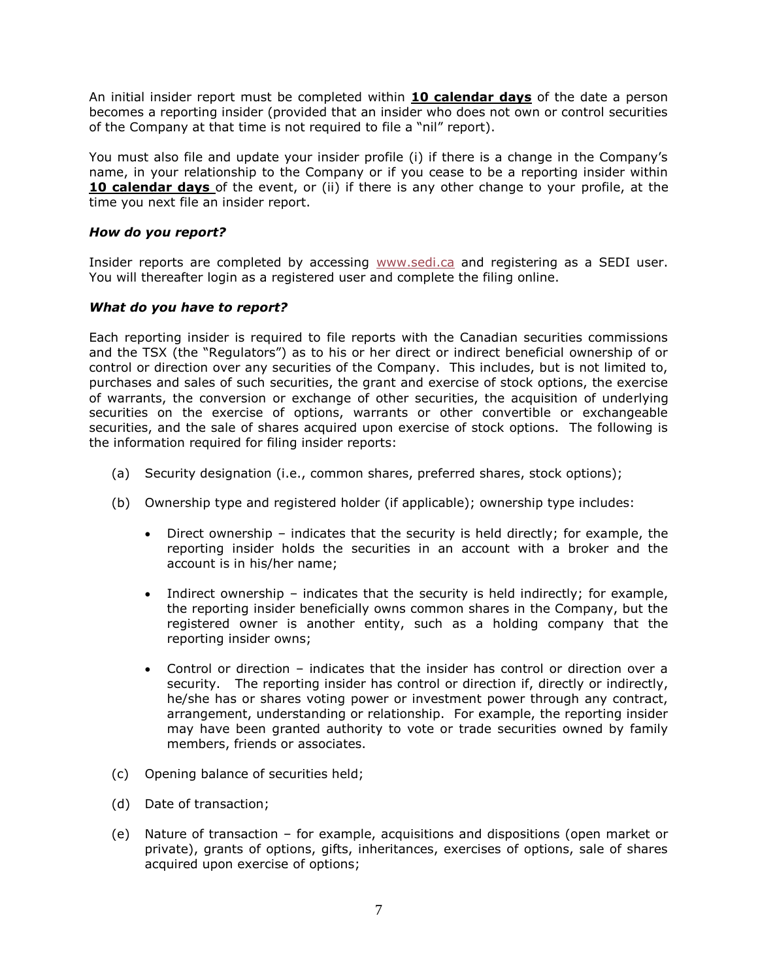An initial insider report must be completed within **10 calendar days** of the date a person becomes a reporting insider (provided that an insider who does not own or control securities of the Company at that time is not required to file a "nil" report).

You must also file and update your insider profile (i) if there is a change in the Company's name, in your relationship to the Company or if you cease to be a reporting insider within **10 calendar days** of the event, or (ii) if there is any other change to your profile, at the time you next file an insider report.

# *How do you report?*

Insider reports are completed by accessing [www.sedi.ca](http://www.sedi.ca/) and registering as a SEDI user. You will thereafter login as a registered user and complete the filing online.

### *What do you have to report?*

Each reporting insider is required to file reports with the Canadian securities commissions and the TSX (the "Regulators") as to his or her direct or indirect beneficial ownership of or control or direction over any securities of the Company. This includes, but is not limited to, purchases and sales of such securities, the grant and exercise of stock options, the exercise of warrants, the conversion or exchange of other securities, the acquisition of underlying securities on the exercise of options, warrants or other convertible or exchangeable securities, and the sale of shares acquired upon exercise of stock options. The following is the information required for filing insider reports:

- (a) Security designation (i.e., common shares, preferred shares, stock options);
- (b) Ownership type and registered holder (if applicable); ownership type includes:
	- Direct ownership indicates that the security is held directly; for example, the reporting insider holds the securities in an account with a broker and the account is in his/her name;
	- Indirect ownership indicates that the security is held indirectly; for example, the reporting insider beneficially owns common shares in the Company, but the registered owner is another entity, such as a holding company that the reporting insider owns;
	- Control or direction indicates that the insider has control or direction over a security. The reporting insider has control or direction if, directly or indirectly, he/she has or shares voting power or investment power through any contract, arrangement, understanding or relationship. For example, the reporting insider may have been granted authority to vote or trade securities owned by family members, friends or associates.
- (c) Opening balance of securities held;
- (d) Date of transaction;
- (e) Nature of transaction for example, acquisitions and dispositions (open market or private), grants of options, gifts, inheritances, exercises of options, sale of shares acquired upon exercise of options;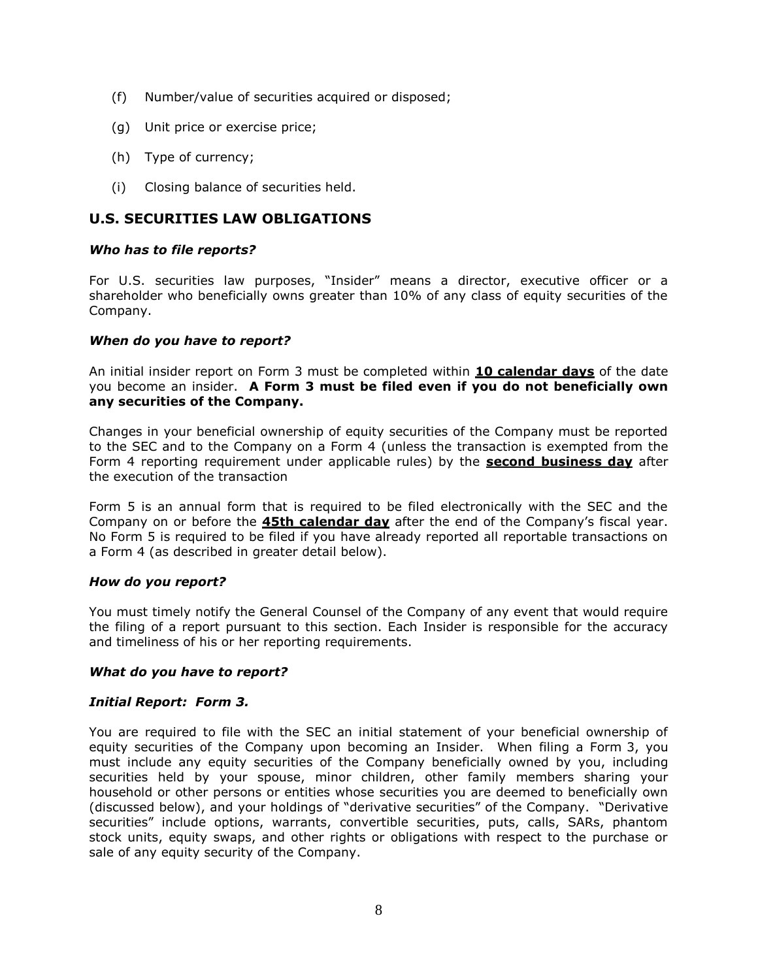- (f) Number/value of securities acquired or disposed;
- (g) Unit price or exercise price;
- (h) Type of currency;
- (i) Closing balance of securities held.

# **U.S. SECURITIES LAW OBLIGATIONS**

### *Who has to file reports?*

For U.S. securities law purposes, "Insider" means a director, executive officer or a shareholder who beneficially owns greater than 10% of any class of equity securities of the Company.

### *When do you have to report?*

An initial insider report on Form 3 must be completed within **10 calendar days** of the date you become an insider. **A Form 3 must be filed even if you do not beneficially own any securities of the Company.**

Changes in your beneficial ownership of equity securities of the Company must be reported to the SEC and to the Company on a Form 4 (unless the transaction is exempted from the Form 4 reporting requirement under applicable rules) by the **second business day** after the execution of the transaction

Form 5 is an annual form that is required to be filed electronically with the SEC and the Company on or before the **45th calendar day** after the end of the Company's fiscal year. No Form 5 is required to be filed if you have already reported all reportable transactions on a Form 4 (as described in greater detail below).

### *How do you report?*

You must timely notify the General Counsel of the Company of any event that would require the filing of a report pursuant to this section. Each Insider is responsible for the accuracy and timeliness of his or her reporting requirements.

### *What do you have to report?*

### *Initial Report: Form 3.*

You are required to file with the SEC an initial statement of your beneficial ownership of equity securities of the Company upon becoming an Insider. When filing a Form 3, you must include any equity securities of the Company beneficially owned by you, including securities held by your spouse, minor children, other family members sharing your household or other persons or entities whose securities you are deemed to beneficially own (discussed below), and your holdings of "derivative securities" of the Company. "Derivative securities" include options, warrants, convertible securities, puts, calls, SARs, phantom stock units, equity swaps, and other rights or obligations with respect to the purchase or sale of any equity security of the Company.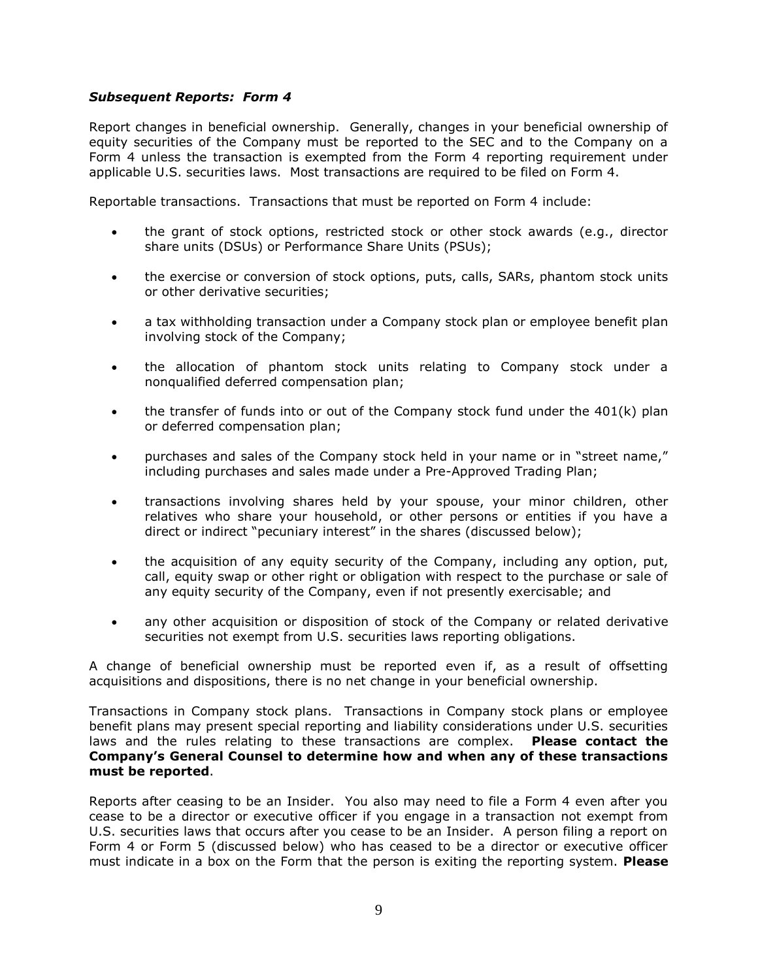### *Subsequent Reports: Form 4*

Report changes in beneficial ownership. Generally, changes in your beneficial ownership of equity securities of the Company must be reported to the SEC and to the Company on a Form 4 unless the transaction is exempted from the Form 4 reporting requirement under applicable U.S. securities laws. Most transactions are required to be filed on Form 4.

Reportable transactions. Transactions that must be reported on Form 4 include:

- the grant of stock options, restricted stock or other stock awards (e.g., director share units (DSUs) or Performance Share Units (PSUs);
- the exercise or conversion of stock options, puts, calls, SARs, phantom stock units or other derivative securities;
- a tax withholding transaction under a Company stock plan or employee benefit plan involving stock of the Company;
- the allocation of phantom stock units relating to Company stock under a nonqualified deferred compensation plan;
- $\bullet$  the transfer of funds into or out of the Company stock fund under the 401(k) plan or deferred compensation plan;
- purchases and sales of the Company stock held in your name or in "street name," including purchases and sales made under a Pre-Approved Trading Plan;
- transactions involving shares held by your spouse, your minor children, other relatives who share your household, or other persons or entities if you have a direct or indirect "pecuniary interest" in the shares (discussed below);
- the acquisition of any equity security of the Company, including any option, put, call, equity swap or other right or obligation with respect to the purchase or sale of any equity security of the Company, even if not presently exercisable; and
- any other acquisition or disposition of stock of the Company or related derivative securities not exempt from U.S. securities laws reporting obligations.

A change of beneficial ownership must be reported even if, as a result of offsetting acquisitions and dispositions, there is no net change in your beneficial ownership.

Transactions in Company stock plans. Transactions in Company stock plans or employee benefit plans may present special reporting and liability considerations under U.S. securities laws and the rules relating to these transactions are complex. **Please contact the Company's General Counsel to determine how and when any of these transactions must be reported**.

Reports after ceasing to be an Insider. You also may need to file a Form 4 even after you cease to be a director or executive officer if you engage in a transaction not exempt from U.S. securities laws that occurs after you cease to be an Insider. A person filing a report on Form 4 or Form 5 (discussed below) who has ceased to be a director or executive officer must indicate in a box on the Form that the person is exiting the reporting system. **Please**